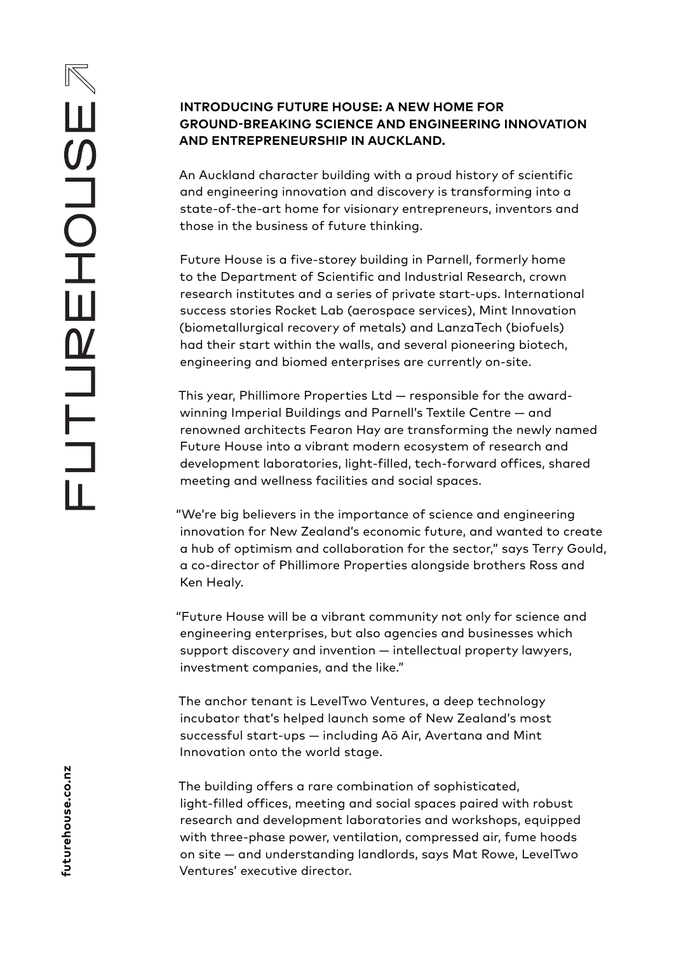# **INTRODUCING FUTURE HOUSE: A NEW HOME FOR GROUND-BREAKING SCIENCE AND ENGINEERING INNOVATION AND ENTREPRENEURSHIP IN AUCKLAND.**

An Auckland character building with a proud history of scientific and engineering innovation and discovery is transforming into a state-of-the-art home for visionary entrepreneurs, inventors and those in the business of future thinking.

Future House is a five-storey building in Parnell, formerly home to the Department of Scientific and Industrial Research, crown research institutes and a series of private start-ups. International success stories Rocket Lab (aerospace services), Mint Innovation (biometallurgical recovery of metals) and LanzaTech (biofuels) had their start within the walls, and several pioneering biotech, engineering and biomed enterprises are currently on-site.

This year, Phillimore Properties Ltd — responsible for the awardwinning Imperial Buildings and Parnell's Textile Centre — and renowned architects Fearon Hay are transforming the newly named Future House into a vibrant modern ecosystem of research and development laboratories, light-filled, tech-forward offices, shared meeting and wellness facilities and social spaces.

"We're big believers in the importance of science and engineering innovation for New Zealand's economic future, and wanted to create a hub of optimism and collaboration for the sector," says Terry Gould, a co-director of Phillimore Properties alongside brothers Ross and Ken Healy.

"Future House will be a vibrant community not only for science and engineering enterprises, but also agencies and businesses which support discovery and invention — intellectual property lawyers, investment companies, and the like."

The anchor tenant is LevelTwo Ventures, a deep technology incubator that's helped launch some of New Zealand's most successful start-ups - including Aō Air, Avertana and Mint Innovation onto the world stage.

The building offers a rare combination of sophisticated, light-filled offices, meeting and social spaces paired with robust research and development laboratories and workshops, equipped with three-phase power, ventilation, compressed air, fume hoods on site — and understanding landlords, says Mat Rowe, LevelTwo Ventures' executive director.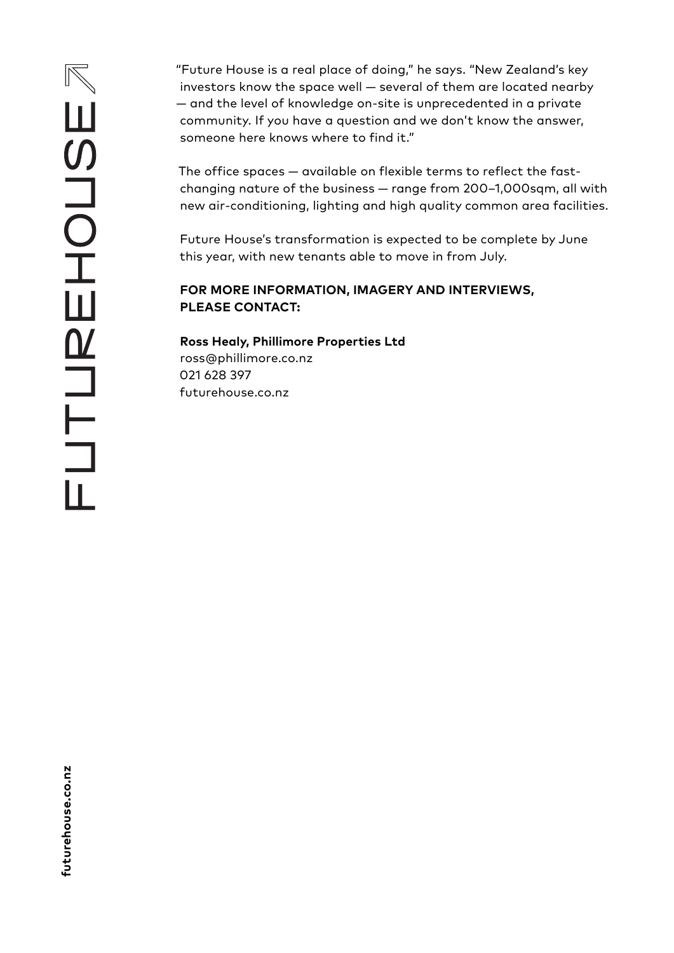"Future House is a real place of doing," he says. "New Zealand's key investors know the space well — several of them are located nearby — and the level of knowledge on-site is unprecedented in a private community. If you have a question and we don't know the answer, someone here knows where to find it."

The office spaces — available on flexible terms to reflect the fastchanging nature of the business — range from 200–1,000sqm, all with new air-conditioning, lighting and high quality common area facilities.

Future House's transformation is expected to be complete by June this year, with new tenants able to move in from July.

# **FOR MORE INFORMATION, IMAGERY AND INTERVIEWS, PLEASE CONTACT:**

**Ross Healy, Phillimore Properties Ltd** ross@phillimore.co.nz 021 628 397 futurehouse.co.nz